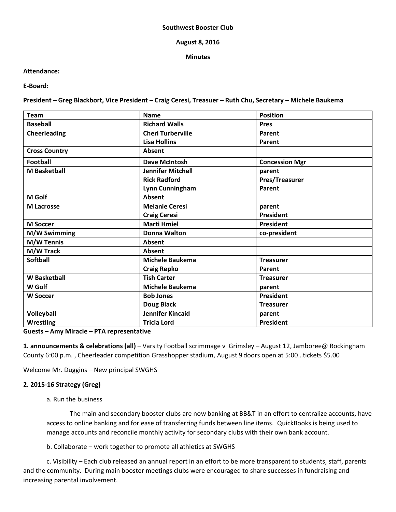#### **Southwest Booster Club**

## **August 8, 2016**

## **Minutes**

# **Attendance:**

**E-Board:**

**President – Greg Blackbort, Vice President – Craig Ceresi, Treasuer – Ruth Chu, Secretary – Michele Baukema**

| <b>Team</b>          | <b>Name</b>              | <b>Position</b>       |
|----------------------|--------------------------|-----------------------|
| <b>Baseball</b>      | <b>Richard Walls</b>     | <b>Pres</b>           |
| <b>Cheerleading</b>  | <b>Cheri Turberville</b> | Parent                |
|                      | <b>Lisa Hollins</b>      | Parent                |
| <b>Cross Country</b> | Absent                   |                       |
| <b>Football</b>      | <b>Dave McIntosh</b>     | <b>Concession Mgr</b> |
| <b>M</b> Basketball  | <b>Jennifer Mitchell</b> | parent                |
|                      | <b>Rick Radford</b>      | Pres/Treasurer        |
|                      | Lynn Cunningham          | Parent                |
| <b>M</b> Golf        | <b>Absent</b>            |                       |
| <b>M</b> Lacrosse    | <b>Melanie Ceresi</b>    | parent                |
|                      | <b>Craig Ceresi</b>      | <b>President</b>      |
| <b>M Soccer</b>      | <b>Marti Hmiel</b>       | President             |
| M/W Swimming         | <b>Donna Walton</b>      | co-president          |
| <b>M/W Tennis</b>    | Absent                   |                       |
| M/W Track            | Absent                   |                       |
| <b>Softball</b>      | <b>Michele Baukema</b>   | <b>Treasurer</b>      |
|                      | <b>Craig Repko</b>       | Parent                |
| <b>W</b> Basketball  | <b>Tish Carter</b>       | <b>Treasurer</b>      |
| W Golf               | <b>Michele Baukema</b>   | parent                |
| <b>W Soccer</b>      | <b>Bob Jones</b>         | <b>President</b>      |
|                      | Doug Black               | <b>Treasurer</b>      |
| Volleyball           | Jennifer Kincaid         | parent                |
| <b>Wrestling</b>     | <b>Tricia Lord</b>       | President             |

## **Guests – Amy Miracle – PTA representative**

**1. announcements & celebrations (all)** – Varsity Football scrimmage v Grimsley – August 12, Jamboree@ Rockingham County 6:00 p.m. , Cheerleader competition Grasshopper stadium, August 9 doors open at 5:00…tickets \$5.00

Welcome Mr. Duggins – New principal SWGHS

# **2. 2015-16 Strategy (Greg)**

# a. Run the business

The main and secondary booster clubs are now banking at BB&T in an effort to centralize accounts, have access to online banking and for ease of transferring funds between line items. QuickBooks is being used to manage accounts and reconcile monthly activity for secondary clubs with their own bank account.

b. Collaborate – work together to promote all athletics at SWGHS

c. Visibility – Each club released an annual report in an effort to be more transparent to students, staff, parents and the community. During main booster meetings clubs were encouraged to share successes in fundraising and increasing parental involvement.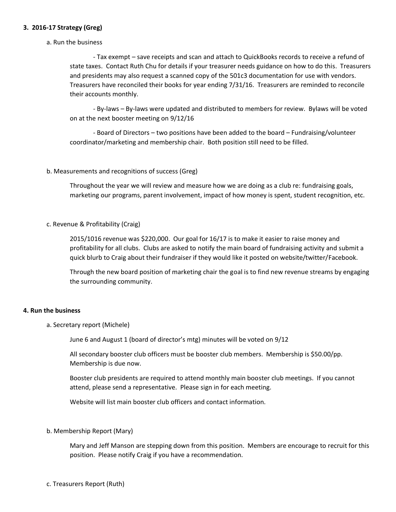# **3. 2016-17 Strategy (Greg)**

#### a. Run the business

- Tax exempt – save receipts and scan and attach to QuickBooks records to receive a refund of state taxes. Contact Ruth Chu for details if your treasurer needs guidance on how to do this. Treasurers and presidents may also request a scanned copy of the 501c3 documentation for use with vendors. Treasurers have reconciled their books for year ending 7/31/16. Treasurers are reminded to reconcile their accounts monthly.

- By-laws – By-laws were updated and distributed to members for review. Bylaws will be voted on at the next booster meeting on 9/12/16

- Board of Directors – two positions have been added to the board – Fundraising/volunteer coordinator/marketing and membership chair. Both position still need to be filled.

## b. Measurements and recognitions of success (Greg)

Throughout the year we will review and measure how we are doing as a club re: fundraising goals, marketing our programs, parent involvement, impact of how money is spent, student recognition, etc.

c. Revenue & Profitability (Craig)

2015/1016 revenue was \$220,000. Our goal for 16/17 is to make it easier to raise money and profitability for all clubs. Clubs are asked to notify the main board of fundraising activity and submit a quick blurb to Craig about their fundraiser if they would like it posted on website/twitter/Facebook.

Through the new board position of marketing chair the goal is to find new revenue streams by engaging the surrounding community.

#### **4. Run the business**

a. Secretary report (Michele)

June 6 and August 1 (board of director's mtg) minutes will be voted on 9/12

All secondary booster club officers must be booster club members. Membership is \$50.00/pp. Membership is due now.

Booster club presidents are required to attend monthly main booster club meetings. If you cannot attend, please send a representative. Please sign in for each meeting.

Website will list main booster club officers and contact information.

# b. Membership Report (Mary)

Mary and Jeff Manson are stepping down from this position. Members are encourage to recruit for this position. Please notify Craig if you have a recommendation.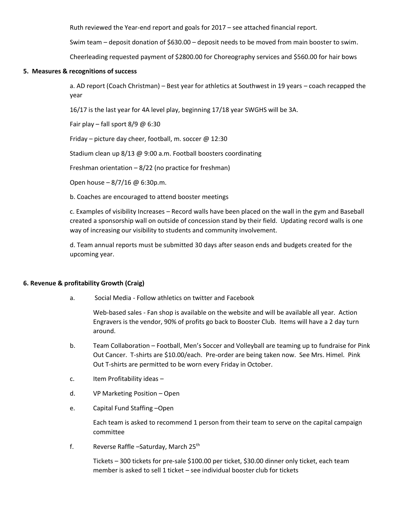Ruth reviewed the Year-end report and goals for 2017 – see attached financial report.

Swim team – deposit donation of \$630.00 – deposit needs to be moved from main booster to swim.

Cheerleading requested payment of \$2800.00 for Choreography services and \$560.00 for hair bows

## **5. Measures & recognitions of success**

a. AD report (Coach Christman) – Best year for athletics at Southwest in 19 years – coach recapped the year

16/17 is the last year for 4A level play, beginning 17/18 year SWGHS will be 3A.

Fair play – fall sport  $8/9$  @ 6:30

Friday – picture day cheer, football, m. soccer @ 12:30

Stadium clean up 8/13 @ 9:00 a.m. Football boosters coordinating

Freshman orientation – 8/22 (no practice for freshman)

Open house – 8/7/16 @ 6:30p.m.

b. Coaches are encouraged to attend booster meetings

c. Examples of visibility Increases – Record walls have been placed on the wall in the gym and Baseball created a sponsorship wall on outside of concession stand by their field. Updating record walls is one way of increasing our visibility to students and community involvement.

d. Team annual reports must be submitted 30 days after season ends and budgets created for the upcoming year.

#### **6. Revenue & profitability Growth (Craig)**

a. Social Media - Follow athletics on twitter and Facebook

Web-based sales - Fan shop is available on the website and will be available all year. Action Engravers is the vendor, 90% of profits go back to Booster Club. Items will have a 2 day turn around.

- b. Team Collaboration Football, Men's Soccer and Volleyball are teaming up to fundraise for Pink Out Cancer. T-shirts are \$10.00/each. Pre-order are being taken now. See Mrs. Himel. Pink Out T-shirts are permitted to be worn every Friday in October.
- c. Item Profitability ideas –
- d. VP Marketing Position Open
- e. Capital Fund Staffing –Open

Each team is asked to recommend 1 person from their team to serve on the capital campaign committee

f. Reverse Raffle – Saturday, March 25<sup>th</sup>

Tickets – 300 tickets for pre-sale \$100.00 per ticket, \$30.00 dinner only ticket, each team member is asked to sell 1 ticket – see individual booster club for tickets